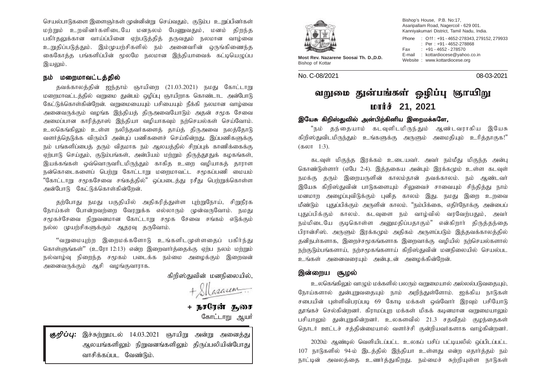செயல்பாடுகளை இளைஞர்கள் முன்னின்று செய்வதும். குடும்பு உறுப்பினர்கள் மர்றும் உறவினர்களிடையே மனநலம் பேணுவதும், மனம் கிறந்த பகிர்தலுக்கான வாய்ப்பினை ஏற்படுத்தித் தருவதும் நலமான வாழ்வை உறுதிப்படுத்தும். இம்முயற்சிகளில் நம் அனைவரின் ஒருங்கிணைந்த கைகோத்த பங்களிப்பின் மூலமே நலமான இந்தியாவைக் கட்டியெழுப்ப இயலும்.

## நம் மறைமாவட்டத்தில்

தவக்காலத்தின் ஐந்தாம் ஞாயிறை (21.03.2021) நமது கோட்டாறு மறைமாவட்டத்தில் வறுமை துன்பம் ஒழிப்பு ஞாயிறாக கொண்டாட அன்போடு கேட்டுக்கொள்கின்றேன். வறுமையையும் பசியையும் நீக்கி நலமான வாழ்வை அனைவருக்கும் வமங்க இந்தியக் கிருஅவையோடும் அகன் சமூக சேவை அமைப்பான காரிக்காஸ் இந்கியா வமியாகவும் நற்செயல்கள் செய்வோம். உலகெங்கிலும் உள்ள நலிந்தவர்களைத் தாய்த் திருஅவை நலத்தோடு வளர்த்தெடுக்க விரும்பி அன்புப் பணிகளைச் செய்கின்றது. இப்பணிகளுக்கு நம் பங்களிப்பைத் தரும் விதமாக நம் ஆலயத்தில் சிறப்புக் காணிக்கைக்கு ஏற்பாடு செய்தும், குடும்பங்கள், அன்பியம் மற்றும் திருத்தூதுக் கழகங்கள், இயக்கங்கள் ஒவ்வொருவரிடமிருந்தும் காகித உறை வழியாகத் தாராள  $B$ ண்கொடைகளைப் பெற்று கோட்டாறு மறைமாவட்ட சமூகப்பணி மையம் "கோட்டாறு சமூகசேவை சங்கக்கில்" லப்படைக்கு ரசீது பெற்றுக்கொள்ள அன்போடு கேட்டுக்கொள்கின்றேன்.

தற்போது நமது பகுதியில் அதிகரித்துள்ள பற்றுநோய், சிறுநீரக நோய்கள் போன்றவற்றை வேரறுக்க எல்லாரும் முன்வருவோம். நமது சமூகச்சேவை நிறுவனமான கோட்டாறு சமூக சேவை சங்கம் எடுக்கும் நல்ல முயற்சிகளுக்கும் ஆதரவு தருவோம்.

"வறுமையுற்ற இறைமக்களோடு உங்களிடமுள்ளதைப் பகிர்ந்து கொள்ளுங்கள்" (உரோ 12:13) என்ற இறைவார்த்தைக்கு ஏற்ப நலம் மற்றும் நல்வாழ்வு நிறைந்த சமூகம் படைக்க நம்மை அமைக்கும் இறைவன் அனைவருக்கும் ஆசி வழங்குவாராக.

கிறிஸ்துவின் மனநிலையில்.

Casaren

+ **நசரேன் சுூ** கோட்டாறு ஆயர்

கு $\eta$ ப்பு: இச்சுற்றுமடல் 14.03.2021 ரூாயிறு அன்று அனைத்து ஆலயங்களிலும் நிறுவனங்களிலும் திருப்பலியின்போது வாசிக்கப்பட வேண்டும்.



Most Rev. Nazarene Soosai Th. D., D.D.<br>Bishop of Kottar

No. C-08/2021 08-03-2021

Bishop's House, P.B. No:17, Asaripallam Road, Nagercoil - 629 001. Kanniyakumari District, Tamil Nadu, India. Phone : Off : +91 - 4652-278343, 279152, 279933 : Per : +91 - 4652-278868 Fax : +91 - 4652 - 278570 E-mail : kottardiocese@yahoo.co.in

# வறுமை துன்பங்கள் ஓழிப்பு ஞாயிறு 񣘄 **21, 2021**

## இயேசு கிறிஸ்துவில் அன்பிற்கினிய இறைமக்களே,

"நம் தந்தையாம் கடவுளிடமிருந்தும் ஆண்டவராகிய இயேசு கிறிஸ்துவிடமிருந்தும் உங்களுக்கு அருளும் அமைதியும் உரித்தாகுக!"  $(560$   $1:3)$ .

கடவுள் மிகுந்த இரக்கம் உடையவர். அவர் நம்மீது மிகுந்த அன்பு கொண்டுள்ளார் (எபே 2:4). இத்தகைய அன்பும் இரக்கமும் உள்ள கடவுள் நமக்கு தரும் இறையருளின் காலம்தான் தவக்காலம். நம் ஆண்டவர் இயேசு கிறிஸ்துவின் பாடுகளையும் சிலுவைச் சாவையும் சிந்தித்து நாம் மனமாற அழைப்புவிடுக்கும் புனித காலம் இது. நமது இறை உறவை மீண்டும் புதுப்பிக்கும் அருளின் காலம். "நம்பிக்கை, எதிாநோக்கு அன்பைப் புதுப்பிக்கும் காலம். கடவுளை நம் வாம்வில் வரவேர்பதும், அவர் நம்மிடையே குடிகொள்ள அனுமதிப்பதாகும்" என்கிறார் திருத்தந்தை பிரான்சிஸ். அருளும் இரக்கமும் அதிகம் அருளப்படும் இத்தவக்காலத்தில் தனிநபா்களாக, இரைச்சமூகங்களாக இறைவாக்கு வழியில் நற்செயல்களால் நற்குடும்பங்களாய், நற்சமூகங்களாய் கிறிஸ்துவின் மனநிலையில் செயல்பட உங்கள் அனைவரையும் அன்புடன் அமைக்கின்றேன்.

## இன்றைய சூழல்

உலகெங்கிலும் வாழும் மக்களில் பலரும் வறுமையால் அல்லல்படுவதையும், நோய்களால் துன்புறுவதையும் நாம் அறிந்துள்ளோம். ஐக்கிய நாடுகள் சபையின் புள்ளிவிபரப்படி 69 கோடி மக்கள் ஒவ்வோர் இரவும் பசியோடு தூங்கச் செல்கின்றனர். கிராமப்புற மக்கள் மிகக் கடினமான வறுமையாலும் பசியாலும் துன்புறுகின்றனர். உலகளவில் 21.3 சதவீதம் குமந்தைகள் தொடர் ஊட்டச் சத்தின்மையால் வளர்ச்சி குன்றியவர்களாக வாழ்கின்றனர்.

2020ம் ஆண்டில் வெளியிடப்பட்ட உலகப் பசிப் பட்டியலில் ஒப்பிடப்பட்ட  $107$  நாடுகளில் 94-ம் இடத்தில் இந்தியா உள்ளது என்ற எதார்த்தம் நம் நாட்டின் அவலத்தை உணர்த்துகிறது. நம்மைச் சுற்றியுள்ள நாடுகள்